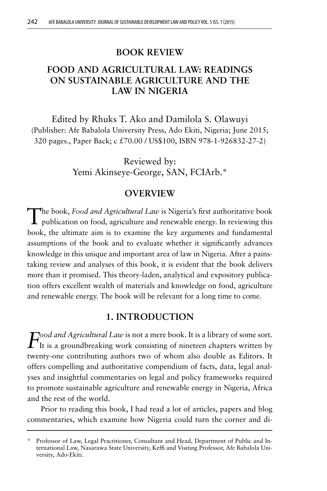### **BOOK REVIEW**

# **FOOD AND AGRICULTURAL LAW: READINGS ON SUSTAINABLE AGRICULTURE AND THE LAW IN NIGERIA**

Edited by Rhuks T. Ako and Damilola S. Olawuyi (Publisher: Afe Babalola University Press, Ado Ekiti, Nigeria; June 2015; 320 pages., Paper Back; c £70.00 / US\$100, ISBN 978-1-926832-27-2)

> Reviewed by: Yemi Akinseye-George, SAN, FCIArb.\*

### **OVERVIEW**

The book, *Food and Agricultural Law* is Nigeria's first authoritative book **L** publication on food, agriculture and renewable energy. In reviewing this book, the ultimate aim is to examine the key arguments and fundamental assumptions of the book and to evaluate whether it significantly advances knowledge in this unique and important area of law in Nigeria. After a painstaking review and analyses of this book, it is evident that the book delivers more than it promised. This theory-laden, analytical and expository publication offers excellent wealth of materials and knowledge on food, agriculture and renewable energy. The book will be relevant for a long time to come.

## **1. INTRODUCTION**

*Food and Agricultural Law* is not a mere book. It is a library of some sort. It is a groundbreaking work consisting of nineteen chapters written by twenty-one contributing authors two of whom also double as Editors. It offers compelling and authoritative compendium of facts, data, legal analyses and insightful commentaries on legal and policy frameworks required to promote sustainable agriculture and renewable energy in Nigeria, Africa and the rest of the world.

Prior to reading this book, I had read a lot of articles, papers and blog commentaries, which examine how Nigeria could turn the corner and di-

<sup>\*</sup> Professor of Law, Legal Practitioner, Consultant and Head, Department of Public and International Law, Nasarawa State University, Keffi and Visiting Professor, Afe Babalola University, Ado-Ekiti.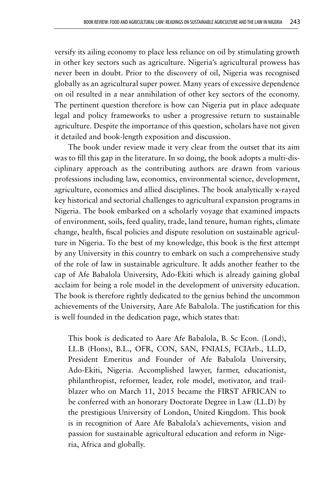versify its ailing economy to place less reliance on oil by stimulating growth in other key sectors such as agriculture. Nigeria's agricultural prowess has never been in doubt. Prior to the discovery of oil, Nigeria was recognised globally as an agricultural super power. Many years of excessive dependence on oil resulted in a near annihilation of other key sectors of the economy. The pertinent question therefore is how can Nigeria put in place adequate legal and policy frameworks to usher a progressive return to sustainable agriculture. Despite the importance of this question, scholars have not given it detailed and book-length exposition and discussion.

The book under review made it very clear from the outset that its aim was to fill this gap in the literature. In so doing, the book adopts a multi-disciplinary approach as the contributing authors are drawn from various professions including law, economics, environmental science, development, agriculture, economics and allied disciplines. The book analytically x-rayed key historical and sectorial challenges to agricultural expansion programs in Nigeria. The book embarked on a scholarly voyage that examined impacts of environment, soils, feed quality, trade, land tenure, human rights, climate change, health, fiscal policies and dispute resolution on sustainable agriculture in Nigeria. To the best of my knowledge, this book is the first attempt by any University in this country to embark on such a comprehensive study of the role of law in sustainable agriculture. It adds another feather to the cap of Afe Babalola University, Ado-Ekiti which is already gaining global acclaim for being a role model in the development of university education. The book is therefore rightly dedicated to the genius behind the uncommon achievements of the University, Aare Afe Babalola. The justification for this is well founded in the dedication page, which states that:

This book is dedicated to Aare Afe Babalola, B. Sc Econ. (Lond), LL.B (Hons), B.L., OFR, CON, SAN, FNIALS, FCIArb., LL.D, President Emeritus and Founder of Afe Babalola University, Ado-Ekiti, Nigeria. Accomplished lawyer, farmer, educationist, philanthropist, reformer, leader, role model, motivator, and trailblazer who on March 11, 2015 became the FIRST AFRICAN to be conferred with an honorary Doctorate Degree in Law (LL.D) by the prestigious University of London, United Kingdom. This book is in recognition of Aare Afe Babalola's achievements, vision and passion for sustainable agricultural education and reform in Nigeria, Africa and globally.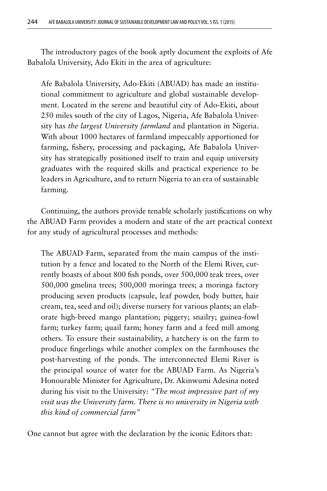The introductory pages of the book aptly document the exploits of Afe Babalola University, Ado Ekiti in the area of agriculture:

Afe Babalola University, Ado-Ekiti (ABUAD) has made an institutional commitment to agriculture and global sustainable development. Located in the serene and beautiful city of Ado-Ekiti, about 250 miles south of the city of Lagos, Nigeria, Afe Babalola University has *the largest University farmland* and plantation in Nigeria. With about 1000 hectares of farmland impeccably apportioned for farming, fishery, processing and packaging, Afe Babalola University has strategically positioned itself to train and equip university graduates with the required skills and practical experience to be leaders in Agriculture, and to return Nigeria to an era of sustainable farming.

Continuing, the authors provide tenable scholarly justifications on why the ABUAD Farm provides a modern and state of the art practical context for any study of agricultural processes and methods:

The ABUAD Farm, separated from the main campus of the institution by a fence and located to the North of the Elemi River, currently boasts of about 800 fish ponds, over 500,000 teak trees, over 500,000 gmelina trees; 500,000 moringa trees; a moringa factory producing seven products (capsule, leaf powder, body butter, hair cream, tea, seed and oil); diverse nursery for various plants; an elaborate high-breed mango plantation; piggery; snailry; guinea-fowl farm; turkey farm; quail farm; honey farm and a feed mill among others. To ensure their sustainability, a hatchery is on the farm to produce fingerlings while another complex on the farmhouses the post-harvesting of the ponds. The interconnected Elemi River is the principal source of water for the ABUAD Farm. As Nigeria's Honourable Minister for Agriculture, Dr. Akinwumi Adesina noted during his visit to the University: *"The most impressive part of my visit was the University farm. There is no university in Nigeria with this kind of commercial farm"*

One cannot but agree with the declaration by the iconic Editors that: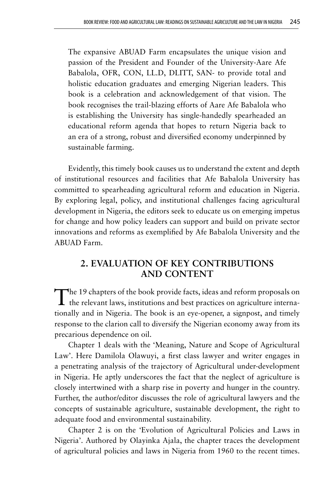The expansive ABUAD Farm encapsulates the unique vision and passion of the President and Founder of the University-Aare Afe Babalola, OFR, CON, LL.D, DLITT, SAN- to provide total and holistic education graduates and emerging Nigerian leaders. This book is a celebration and acknowledgement of that vision. The book recognises the trail-blazing efforts of Aare Afe Babalola who is establishing the University has single-handedly spearheaded an educational reform agenda that hopes to return Nigeria back to an era of a strong, robust and diversified economy underpinned by sustainable farming.

Evidently, this timely book causes us to understand the extent and depth of institutional resources and facilities that Afe Babalola University has committed to spearheading agricultural reform and education in Nigeria. By exploring legal, policy, and institutional challenges facing agricultural development in Nigeria, the editors seek to educate us on emerging impetus for change and how policy leaders can support and build on private sector innovations and reforms as exemplified by Afe Babalola University and the ABUAD Farm.

# **2. EVALUATION OF KEY CONTRIBUTIONS AND CONTENT**

The 19 chapters of the book provide facts, ideas and reform proposals on  $\perp$  the relevant laws, institutions and best practices on agriculture internationally and in Nigeria. The book is an eye-opener, a signpost, and timely response to the clarion call to diversify the Nigerian economy away from its precarious dependence on oil.

Chapter 1 deals with the 'Meaning, Nature and Scope of Agricultural Law'. Here Damilola Olawuyi, a first class lawyer and writer engages in a penetrating analysis of the trajectory of Agricultural under-development in Nigeria. He aptly underscores the fact that the neglect of agriculture is closely intertwined with a sharp rise in poverty and hunger in the country. Further, the author/editor discusses the role of agricultural lawyers and the concepts of sustainable agriculture, sustainable development, the right to adequate food and environmental sustainability.

Chapter 2 is on the 'Evolution of Agricultural Policies and Laws in Nigeria'. Authored by Olayinka Ajala, the chapter traces the development of agricultural policies and laws in Nigeria from 1960 to the recent times.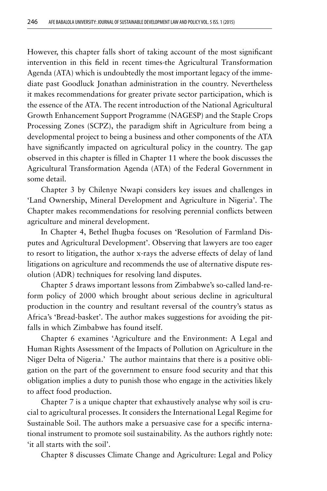However, this chapter falls short of taking account of the most significant intervention in this field in recent times-the Agricultural Transformation Agenda (ATA) which is undoubtedly the most important legacy of the immediate past Goodluck Jonathan administration in the country. Nevertheless it makes recommendations for greater private sector participation, which is the essence of the ATA. The recent introduction of the National Agricultural Growth Enhancement Support Programme (NAGESP) and the Staple Crops Processing Zones (SCPZ), the paradigm shift in Agriculture from being a developmental project to being a business and other components of the ATA have significantly impacted on agricultural policy in the country. The gap observed in this chapter is filled in Chapter 11 where the book discusses the Agricultural Transformation Agenda (ATA) of the Federal Government in some detail.

Chapter 3 by Chilenye Nwapi considers key issues and challenges in 'Land Ownership, Mineral Development and Agriculture in Nigeria'. The Chapter makes recommendations for resolving perennial conflicts between agriculture and mineral development.

In Chapter 4, Bethel Ihugba focuses on 'Resolution of Farmland Disputes and Agricultural Development'. Observing that lawyers are too eager to resort to litigation, the author x-rays the adverse effects of delay of land litigations on agriculture and recommends the use of alternative dispute resolution (ADR) techniques for resolving land disputes.

Chapter 5 draws important lessons from Zimbabwe's so-called land-reform policy of 2000 which brought about serious decline in agricultural production in the country and resultant reversal of the country's status as Africa's 'Bread-basket'. The author makes suggestions for avoiding the pitfalls in which Zimbabwe has found itself.

Chapter 6 examines 'Agriculture and the Environment: A Legal and Human Rights Assessment of the Impacts of Pollution on Agriculture in the Niger Delta of Nigeria.' The author maintains that there is a positive obligation on the part of the government to ensure food security and that this obligation implies a duty to punish those who engage in the activities likely to affect food production.

Chapter 7 is a unique chapter that exhaustively analyse why soil is crucial to agricultural processes. It considers the International Legal Regime for Sustainable Soil. The authors make a persuasive case for a specific international instrument to promote soil sustainability. As the authors rightly note: 'it all starts with the soil'.

Chapter 8 discusses Climate Change and Agriculture: Legal and Policy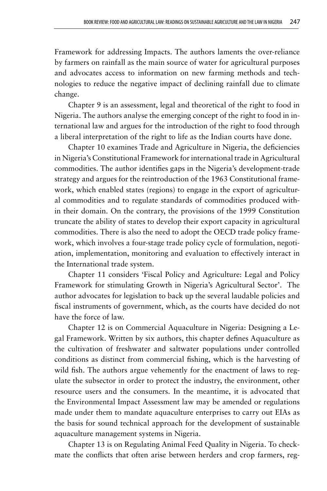Framework for addressing Impacts. The authors laments the over-reliance by farmers on rainfall as the main source of water for agricultural purposes and advocates access to information on new farming methods and technologies to reduce the negative impact of declining rainfall due to climate change.

Chapter 9 is an assessment, legal and theoretical of the right to food in Nigeria. The authors analyse the emerging concept of the right to food in international law and argues for the introduction of the right to food through a liberal interpretation of the right to life as the Indian courts have done.

Chapter 10 examines Trade and Agriculture in Nigeria, the deficiencies in Nigeria's Constitutional Framework for international trade in Agricultural commodities. The author identifies gaps in the Nigeria's development-trade strategy and argues for the reintroduction of the 1963 Constitutional framework, which enabled states (regions) to engage in the export of agricultural commodities and to regulate standards of commodities produced within their domain. On the contrary, the provisions of the 1999 Constitution truncate the ability of states to develop their export capacity in agricultural commodities. There is also the need to adopt the OECD trade policy framework, which involves a four-stage trade policy cycle of formulation, negotiation, implementation, monitoring and evaluation to effectively interact in the International trade system.

Chapter 11 considers 'Fiscal Policy and Agriculture: Legal and Policy Framework for stimulating Growth in Nigeria's Agricultural Sector'. The author advocates for legislation to back up the several laudable policies and fiscal instruments of government, which, as the courts have decided do not have the force of law.

Chapter 12 is on Commercial Aquaculture in Nigeria: Designing a Legal Framework. Written by six authors, this chapter defines Aquaculture as the cultivation of freshwater and saltwater populations under controlled conditions as distinct from commercial fishing, which is the harvesting of wild fish. The authors argue vehemently for the enactment of laws to regulate the subsector in order to protect the industry, the environment, other resource users and the consumers. In the meantime, it is advocated that the Environmental Impact Assessment law may be amended or regulations made under them to mandate aquaculture enterprises to carry out EIAs as the basis for sound technical approach for the development of sustainable aquaculture management systems in Nigeria.

Chapter 13 is on Regulating Animal Feed Quality in Nigeria. To checkmate the conflicts that often arise between herders and crop farmers, reg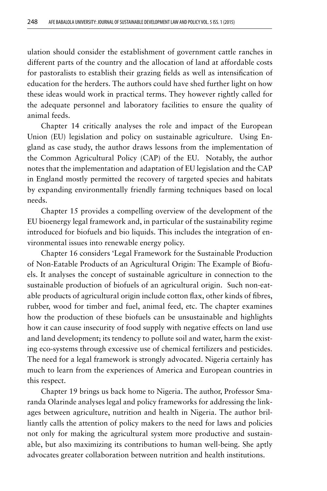ulation should consider the establishment of government cattle ranches in different parts of the country and the allocation of land at affordable costs for pastoralists to establish their grazing fields as well as intensification of education for the herders. The authors could have shed further light on how these ideas would work in practical terms. They however rightly called for the adequate personnel and laboratory facilities to ensure the quality of animal feeds.

Chapter 14 critically analyses the role and impact of the European Union (EU) legislation and policy on sustainable agriculture. Using England as case study, the author draws lessons from the implementation of the Common Agricultural Policy (CAP) of the EU. Notably, the author notes that the implementation and adaptation of EU legislation and the CAP in England mostly permitted the recovery of targeted species and habitats by expanding environmentally friendly farming techniques based on local needs.

Chapter 15 provides a compelling overview of the development of the EU bioenergy legal framework and, in particular of the sustainability regime introduced for biofuels and bio liquids. This includes the integration of environmental issues into renewable energy policy.

Chapter 16 considers 'Legal Framework for the Sustainable Production of Non-Eatable Products of an Agricultural Origin: The Example of Biofuels. It analyses the concept of sustainable agriculture in connection to the sustainable production of biofuels of an agricultural origin. Such non-eatable products of agricultural origin include cotton flax, other kinds of fibres, rubber, wood for timber and fuel, animal feed, etc. The chapter examines how the production of these biofuels can be unsustainable and highlights how it can cause insecurity of food supply with negative effects on land use and land development; its tendency to pollute soil and water, harm the existing eco-systems through excessive use of chemical fertilizers and pesticides. The need for a legal framework is strongly advocated. Nigeria certainly has much to learn from the experiences of America and European countries in this respect.

Chapter 19 brings us back home to Nigeria. The author, Professor Smaranda Olarinde analyses legal and policy frameworks for addressing the linkages between agriculture, nutrition and health in Nigeria. The author brilliantly calls the attention of policy makers to the need for laws and policies not only for making the agricultural system more productive and sustainable, but also maximizing its contributions to human well-being. She aptly advocates greater collaboration between nutrition and health institutions.